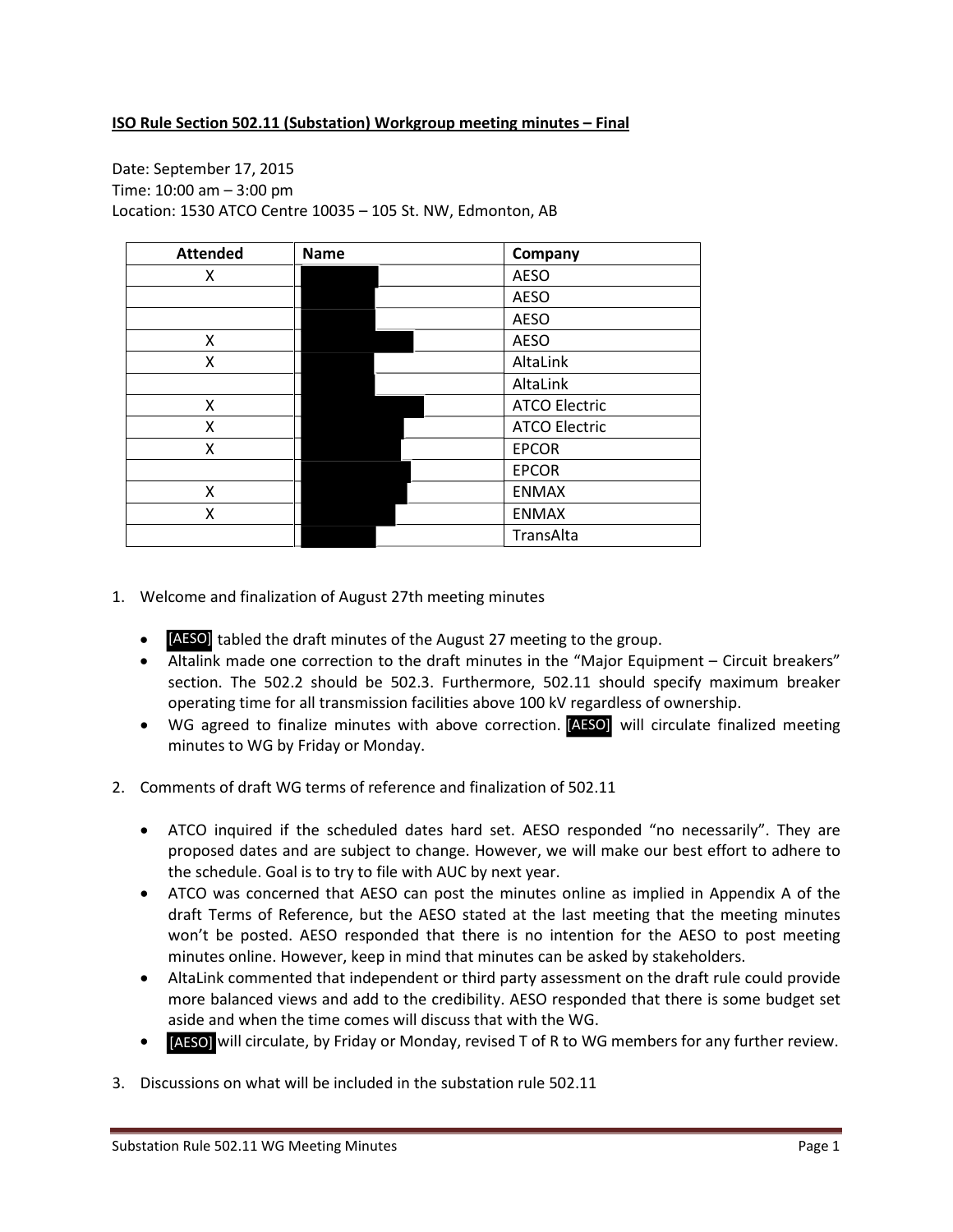Date: September 17, 2015 Time: 10:00 am – 3:00 pm Location: 1530 ATCO Centre 10035 – 105 St. NW, Edmonton, AB

| <b>Attended</b> | <b>Name</b> | Company              |
|-----------------|-------------|----------------------|
| x               |             | <b>AESO</b>          |
|                 |             | <b>AESO</b>          |
|                 |             | <b>AESO</b>          |
| X               |             | <b>AESO</b>          |
| Χ               |             | AltaLink             |
|                 |             | AltaLink             |
| X               |             | <b>ATCO Electric</b> |
| Χ               |             | <b>ATCO Electric</b> |
| Χ               |             | <b>EPCOR</b>         |
|                 |             | <b>EPCOR</b>         |
| Χ               |             | <b>ENMAX</b>         |
| Χ               |             | <b>ENMAX</b>         |
|                 |             | TransAlta            |

- 1. Welcome and finalization of August 27th meeting minutes
	- **[AESO]** tabled the draft minutes of the August 27 meeting to the group.
	- Altalink made one correction to the draft minutes in the "Major Equipment Circuit breakers" section. The 502.2 should be 502.3. Furthermore, 502.11 should specify maximum breaker operating time for all transmission facilities above 100 kV regardless of ownership.
	- WG agreed to finalize minutes with above correction. [AESO] will circulate finalized meeting minutes to WG by Friday or Monday.
- 2. Comments of draft WG terms of reference and finalization of 502.11
	- ATCO inquired if the scheduled dates hard set. AESO responded "no necessarily". They are proposed dates and are subject to change. However, we will make our best effort to adhere to the schedule. Goal is to try to file with AUC by next year.
	- ATCO was concerned that AESO can post the minutes online as implied in Appendix A of the draft Terms of Reference, but the AESO stated at the last meeting that the meeting minutes won't be posted. AESO responded that there is no intention for the AESO to post meeting minutes online. However, keep in mind that minutes can be asked by stakeholders.
	- AltaLink commented that independent or third party assessment on the draft rule could provide more balanced views and add to the credibility. AESO responded that there is some budget set aside and when the time comes will discuss that with the WG.
	- [AESO] will circulate, by Friday or Monday, revised T of R to WG members for any further review.
- 3. Discussions on what will be included in the substation rule 502.11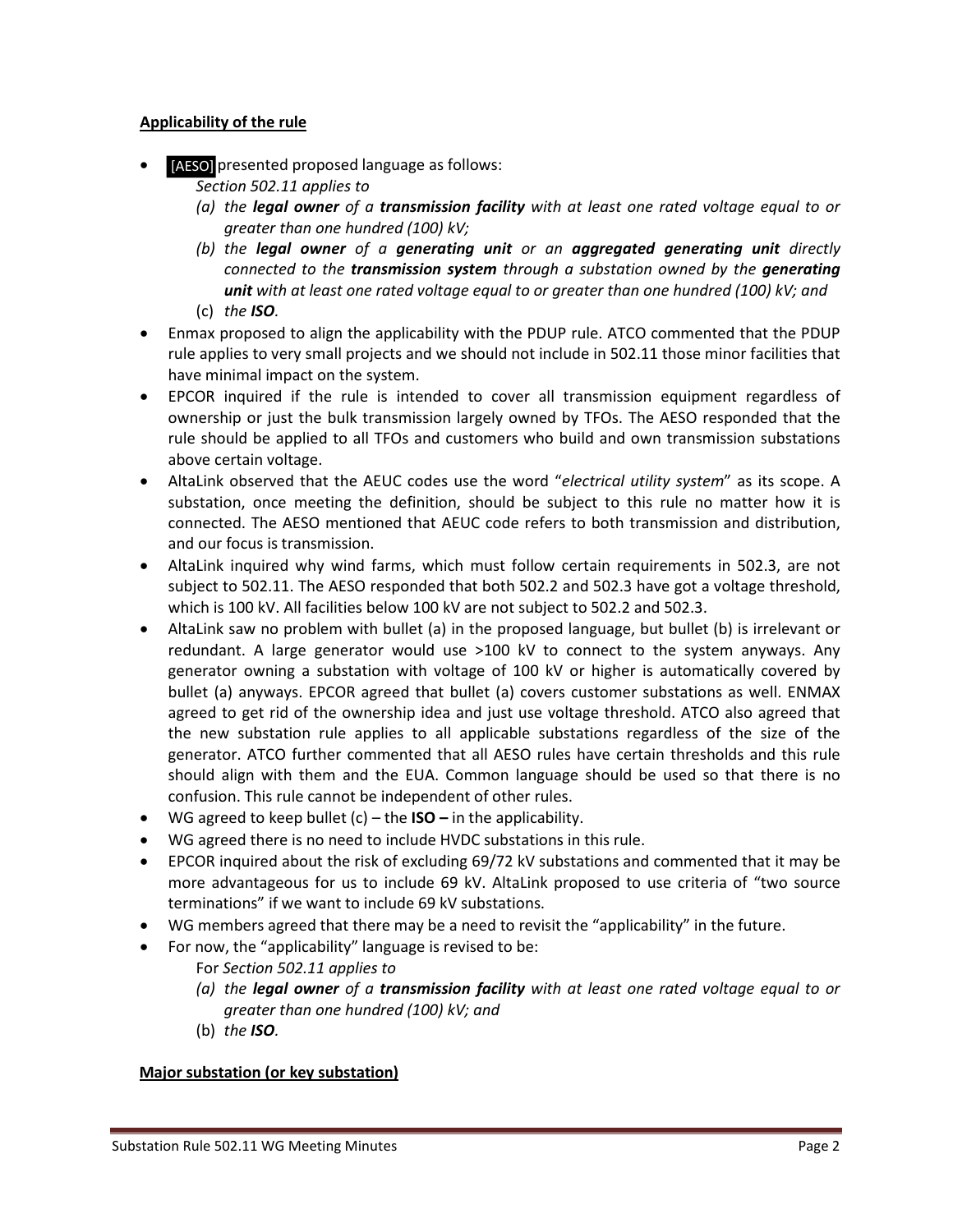### **Applicability of the rule**

• **[AESO]** presented proposed language as follows:

*Section 502.11 applies to* 

- *(a) the legal owner of a transmission facility with at least one rated voltage equal to or greater than one hundred (100) kV;*
- *(b) the legal owner of a generating unit or an aggregated generating unit directly connected to the transmission system through a substation owned by the generating unit with at least one rated voltage equal to or greater than one hundred (100) kV; and* (c) *the ISO.*
- Enmax proposed to align the applicability with the PDUP rule. ATCO commented that the PDUP rule applies to very small projects and we should not include in 502.11 those minor facilities that have minimal impact on the system.
- EPCOR inquired if the rule is intended to cover all transmission equipment regardless of ownership or just the bulk transmission largely owned by TFOs. The AESO responded that the rule should be applied to all TFOs and customers who build and own transmission substations above certain voltage.
- AltaLink observed that the AEUC codes use the word "*electrical utility system*" as its scope. A substation, once meeting the definition, should be subject to this rule no matter how it is connected. The AESO mentioned that AEUC code refers to both transmission and distribution, and our focus is transmission.
- AltaLink inquired why wind farms, which must follow certain requirements in 502.3, are not subject to 502.11. The AESO responded that both 502.2 and 502.3 have got a voltage threshold, which is 100 kV. All facilities below 100 kV are not subject to 502.2 and 502.3.
- AltaLink saw no problem with bullet (a) in the proposed language, but bullet (b) is irrelevant or redundant. A large generator would use >100 kV to connect to the system anyways. Any generator owning a substation with voltage of 100 kV or higher is automatically covered by bullet (a) anyways. EPCOR agreed that bullet (a) covers customer substations as well. ENMAX agreed to get rid of the ownership idea and just use voltage threshold. ATCO also agreed that the new substation rule applies to all applicable substations regardless of the size of the generator. ATCO further commented that all AESO rules have certain thresholds and this rule should align with them and the EUA. Common language should be used so that there is no confusion. This rule cannot be independent of other rules.
- WG agreed to keep bullet (c) the **ISO** in the applicability.
- WG agreed there is no need to include HVDC substations in this rule.
- EPCOR inquired about the risk of excluding 69/72 kV substations and commented that it may be more advantageous for us to include 69 kV. AltaLink proposed to use criteria of "two source terminations" if we want to include 69 kV substations.
- WG members agreed that there may be a need to revisit the "applicability" in the future.
- For now, the "applicability" language is revised to be:
	- For *Section 502.11 applies to*
	- *(a) the legal owner of a transmission facility with at least one rated voltage equal to or greater than one hundred (100) kV; and*
	- (b) *the ISO.*

# **Major substation (or key substation)**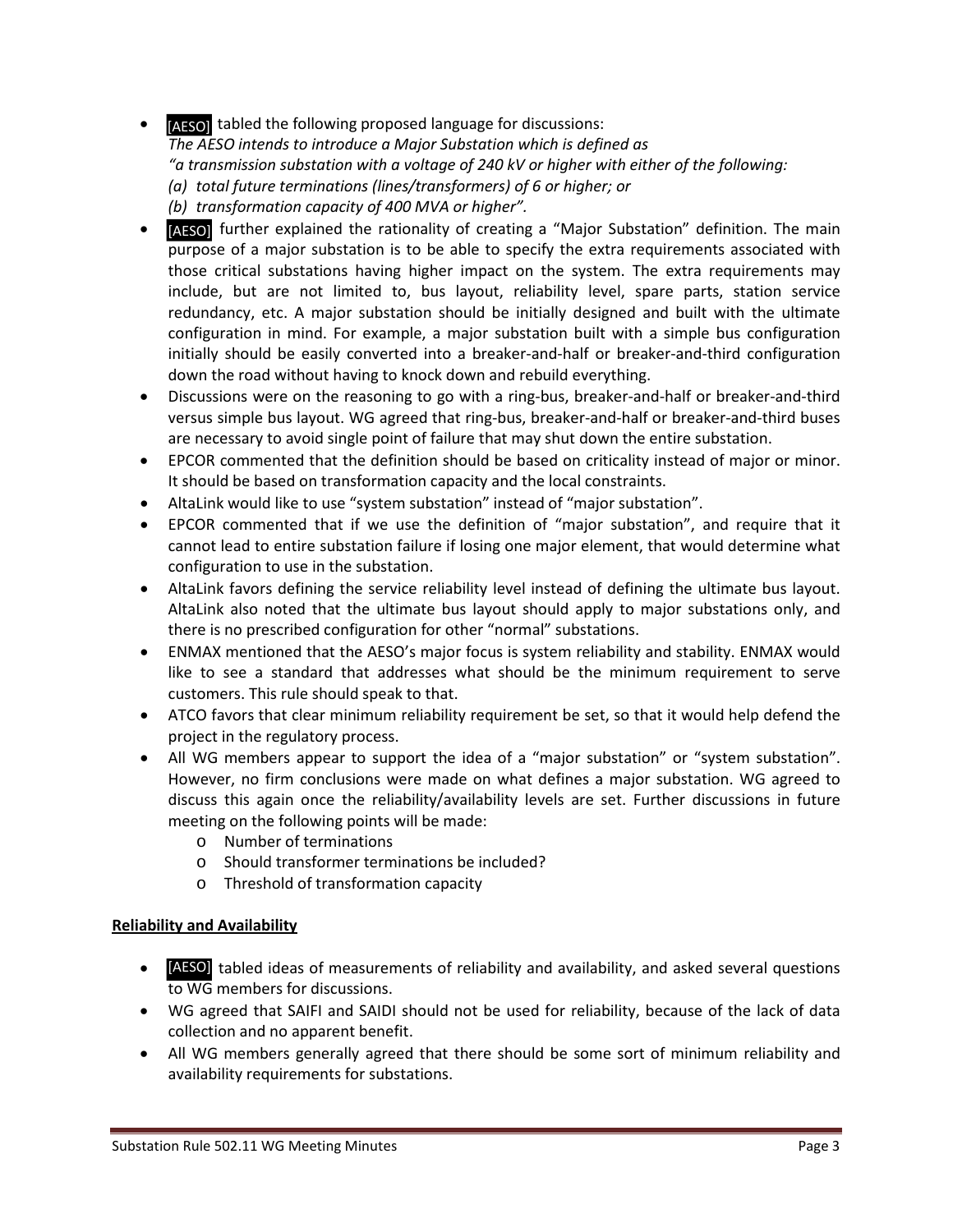- **[AESO]** tabled the following proposed language for discussions: *The AESO intends to introduce a Major Substation which is defined as "a transmission substation with a voltage of 240 kV or higher with either of the following: (a) total future terminations (lines/transformers) of 6 or higher; or (b) transformation capacity of 400 MVA or higher".*
- **[AESO]** further explained the rationality of creating a "Major Substation" definition. The main purpose of a major substation is to be able to specify the extra requirements associated with those critical substations having higher impact on the system. The extra requirements may include, but are not limited to, bus layout, reliability level, spare parts, station service redundancy, etc. A major substation should be initially designed and built with the ultimate configuration in mind. For example, a major substation built with a simple bus configuration initially should be easily converted into a breaker-and-half or breaker-and-third configuration down the road without having to knock down and rebuild everything.
- Discussions were on the reasoning to go with a ring-bus, breaker-and-half or breaker-and-third versus simple bus layout. WG agreed that ring-bus, breaker-and-half or breaker-and-third buses are necessary to avoid single point of failure that may shut down the entire substation.
- EPCOR commented that the definition should be based on criticality instead of major or minor. It should be based on transformation capacity and the local constraints.
- AltaLink would like to use "system substation" instead of "major substation".
- EPCOR commented that if we use the definition of "major substation", and require that it cannot lead to entire substation failure if losing one major element, that would determine what configuration to use in the substation.
- AltaLink favors defining the service reliability level instead of defining the ultimate bus layout. AltaLink also noted that the ultimate bus layout should apply to major substations only, and there is no prescribed configuration for other "normal" substations.
- ENMAX mentioned that the AESO's major focus is system reliability and stability. ENMAX would like to see a standard that addresses what should be the minimum requirement to serve customers. This rule should speak to that.
- ATCO favors that clear minimum reliability requirement be set, so that it would help defend the project in the regulatory process.
- All WG members appear to support the idea of a "major substation" or "system substation". However, no firm conclusions were made on what defines a major substation. WG agreed to discuss this again once the reliability/availability levels are set. Further discussions in future meeting on the following points will be made:
	- o Number of terminations
	- o Should transformer terminations be included?
	- o Threshold of transformation capacity

# **Reliability and Availability**

- [AESO] tabled ideas of measurements of reliability and availability, and asked several questions to WG members for discussions.
- WG agreed that SAIFI and SAIDI should not be used for reliability, because of the lack of data collection and no apparent benefit.
- All WG members generally agreed that there should be some sort of minimum reliability and availability requirements for substations.